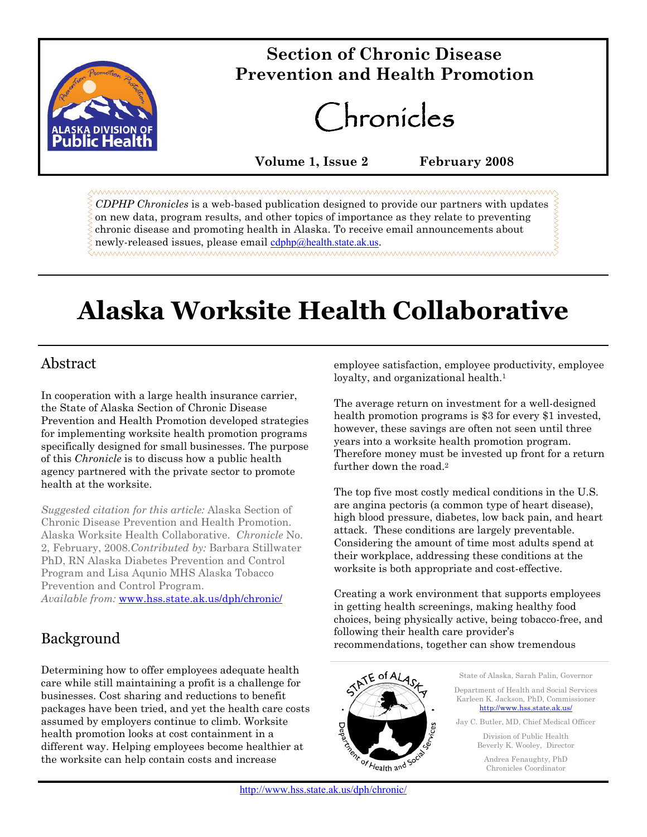

# $Section of Chronic Disease$ **Prevention and Health Promotion**

Chronicles

**Volume 1, Issue 2 February 2008**

*CDPHP Chronicles* is a web-based publication designed to provide our partners with updates on new data, program results, and other topics of importance as they relate to preventing chronic disease and promoting health in Alaska. To receive email announcements about newly-released issues, please email cdphp@health.state.ak.us.

# **Alaska Worksite Health Collaborative**

# Abstract

In cooperation with a large health insurance carrier, the State of Alaska Section of Chronic Disease Prevention and Health Promotion developed strategies for implementing worksite health promotion programs specifically designed for small businesses. The purpose of this *Chronicle* is to discuss how a public health agency partnered with the private sector to promote health at the worksite.

*Suggested citation for this article:* Alaska Section of Chronic Disease Prevention and Health Promotion. Alaska Worksite Health Collaborative. *Chronicle* No. 2, February, 2008.*Contributed by:* Barbara Stillwater PhD, RN Alaska Diabetes Prevention and Control Program and Lisa Aqunio MHS Alaska Tobacco Prevention and Control Program. *Available from:* www.hss.state.ak.us/dph/chronic/

# Background

Determining how to offer employees adequate health care while still maintaining a profit is a challenge for businesses. Cost sharing and reductions to benefit packages have been tried, and yet the health care costs assumed by employers continue to climb. Worksite health promotion looks at cost containment in a different way. Helping employees become healthier at the worksite can help contain costs and increase

employee satisfaction, employee productivity, employee loyalty, and organizational health.<sup>1</sup>

The average return on investment for a well-designed health promotion programs is \$3 for every \$1 invested, however, these savings are often not seen until three years into a worksite health promotion program. Therefore money must be invested up front for a return further down the road.<sup>2</sup>

The top five most costly medical conditions in the U.S. are angina pectoris (a common type of heart disease), high blood pressure, diabetes, low back pain, and heart attack. These conditions are largely preventable. Considering the amount of time most adults spend at their workplace, addressing these conditions at the worksite is both appropriate and cost-effective.

Creating a work environment that supports employees in getting health screenings, making healthy food choices, being physically active, being tobacco-free, and following their health care provider's recommendations, together can show tremendous



State of Alaska, Sarah Palin, Governor

Department of Health and Social Services Karleen K. Jackson, PhD, Commissioner http://www.hss.state.ak.us/

Jay C. Butler, MD, Chief Medical Officer Division of Public Health Beverly K. Wooley, Director

> Andrea Fenaughty, PhD Chronicles Coordinator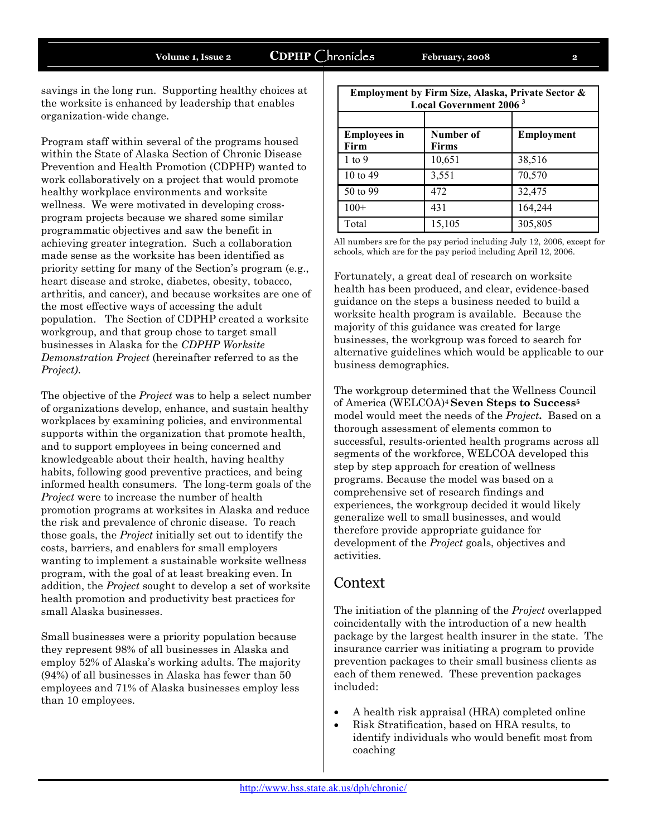savings in the long run. Supporting healthy choices at the worksite is enhanced by leadership that enables organization-wide change.

Program staff within several of the programs housed within the State of Alaska Section of Chronic Disease Prevention and Health Promotion (CDPHP) wanted to work collaboratively on a project that would promote healthy workplace environments and worksite wellness. We were motivated in developing crossprogram projects because we shared some similar programmatic objectives and saw the benefit in achieving greater integration. Such a collaboration made sense as the worksite has been identified as priority setting for many of the Section's program (e.g., heart disease and stroke, diabetes, obesity, tobacco, arthritis, and cancer), and because worksites are one of the most effective ways of accessing the adult population. The Section of CDPHP created a worksite workgroup, and that group chose to target small businesses in Alaska for the *CDPHP Worksite Demonstration Project* (hereinafter referred to as the *Project)*.

The objective of the *Project* was to help a select number of organizations develop, enhance, and sustain healthy workplaces by examining policies, and environmental supports within the organization that promote health, and to support employees in being concerned and knowledgeable about their health, having healthy habits, following good preventive practices, and being informed health consumers. The long-term goals of the *Project* were to increase the number of health promotion programs at worksites in Alaska and reduce the risk and prevalence of chronic disease. To reach those goals, the *Project* initially set out to identify the costs, barriers, and enablers for small employers wanting to implement a sustainable worksite wellness program, with the goal of at least breaking even. In addition, the *Project* sought to develop a set of worksite health promotion and productivity best practices for small Alaska businesses.

Small businesses were a priority population because they represent 98% of all businesses in Alaska and employ 52% of Alaska's working adults. The majority (94%) of all businesses in Alaska has fewer than 50 employees and 71% of Alaska businesses employ less than 10 employees.

| Employment by Firm Size, Alaska, Private Sector &<br><b>Local Government 2006<sup>3</sup></b> |                           |                   |
|-----------------------------------------------------------------------------------------------|---------------------------|-------------------|
| <b>Employees in</b><br>Firm                                                                   | Number of<br><b>Firms</b> | <b>Employment</b> |
| $1$ to 9                                                                                      | 10,651                    | 38,516            |
| 10 to 49                                                                                      | 3,551                     | 70,570            |
| 50 to 99                                                                                      | 472                       | 32,475            |
| $100+$                                                                                        | 431                       | 164,244           |
| Total                                                                                         | 15,105                    | 305,805           |

All numbers are for the pay period including July 12, 2006, except for schools, which are for the pay period including April 12, 2006.

Fortunately, a great deal of research on worksite health has been produced, and clear, evidence-based guidance on the steps a business needed to build a worksite health program is available. Because the majority of this guidance was created for large businesses, the workgroup was forced to search for alternative guidelines which would be applicable to our business demographics.

The workgroup determined that the Wellness Council of America (WELCOA)<sup>4</sup> **Seven Steps to Success<sup>5</sup>** model would meet the needs of the *Project***.** Based on a thorough assessment of elements common to successful, results-oriented health programs across all segments of the workforce, WELCOA developed this step by step approach for creation of wellness programs. Because the model was based on a comprehensive set of research findings and experiences, the workgroup decided it would likely generalize well to small businesses, and would therefore provide appropriate guidance for development of the *Project* goals, objectives and activities.

#### Context

The initiation of the planning of the *Project* overlapped coincidentally with the introduction of a new health package by the largest health insurer in the state. The insurance carrier was initiating a program to provide prevention packages to their small business clients as each of them renewed. These prevention packages included:

- A health risk appraisal (HRA) completed online
- Risk Stratification, based on HRA results, to identify individuals who would benefit most from coaching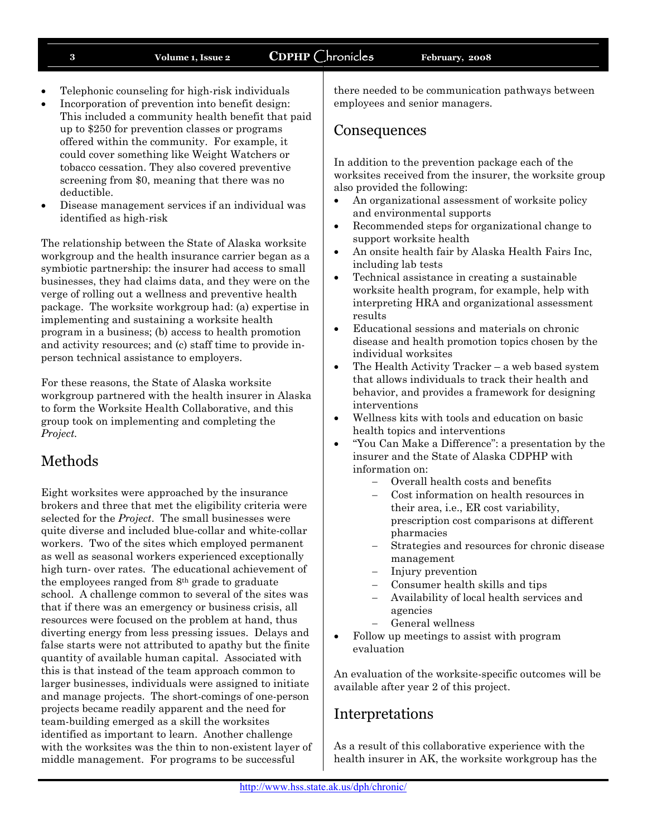- Telephonic counseling for high-risk individuals
- Incorporation of prevention into benefit design: This included a community health benefit that paid up to \$250 for prevention classes or programs offered within the community. For example, it could cover something like Weight Watchers or tobacco cessation. They also covered preventive screening from \$0, meaning that there was no deductible.
- Disease management services if an individual was identified as high-risk

The relationship between the State of Alaska worksite workgroup and the health insurance carrier began as a symbiotic partnership: the insurer had access to small businesses, they had claims data, and they were on the verge of rolling out a wellness and preventive health package. The worksite workgroup had: (a) expertise in implementing and sustaining a worksite health program in a business; (b) access to health promotion and activity resources; and (c) staff time to provide inperson technical assistance to employers.

For these reasons, the State of Alaska worksite workgroup partnered with the health insurer in Alaska to form the Worksite Health Collaborative, and this group took on implementing and completing the *Project.*

# Methods

Eight worksites were approached by the insurance brokers and three that met the eligibility criteria were selected for the *Project*. The small businesses were quite diverse and included blue-collar and white-collar workers. Two of the sites which employed permanent as well as seasonal workers experienced exceptionally high turn- over rates. The educational achievement of the employees ranged from 8th grade to graduate school. A challenge common to several of the sites was that if there was an emergency or business crisis, all resources were focused on the problem at hand, thus diverting energy from less pressing issues. Delays and false starts were not attributed to apathy but the finite quantity of available human capital. Associated with this is that instead of the team approach common to larger businesses, individuals were assigned to initiate and manage projects. The short-comings of one-person projects became readily apparent and the need for team-building emerged as a skill the worksites identified as important to learn. Another challenge with the worksites was the thin to non-existent layer of middle management. For programs to be successful

there needed to be communication pathways between employees and senior managers.

#### **Consequences**

In addition to the prevention package each of the worksites received from the insurer, the worksite group also provided the following:

- An organizational assessment of worksite policy and environmental supports
- Recommended steps for organizational change to support worksite health
- An onsite health fair by Alaska Health Fairs Inc, including lab tests
- Technical assistance in creating a sustainable worksite health program, for example, help with interpreting HRA and organizational assessment results
- Educational sessions and materials on chronic disease and health promotion topics chosen by the individual worksites
- The Health Activity Tracker a web based system that allows individuals to track their health and behavior, and provides a framework for designing interventions
- Wellness kits with tools and education on basic health topics and interventions
- "You Can Make a Difference": a presentation by the insurer and the State of Alaska CDPHP with information on:
	- Overall health costs and benefits
	- Cost information on health resources in their area, i.e., ER cost variability, prescription cost comparisons at different pharmacies
	- Strategies and resources for chronic disease management
	- Injury prevention
	- Consumer health skills and tips
	- Availability of local health services and agencies
	- General wellness
- Follow up meetings to assist with program evaluation

An evaluation of the worksite-specific outcomes will be available after year 2 of this project.

# Interpretations

As a result of this collaborative experience with the health insurer in AK, the worksite workgroup has the